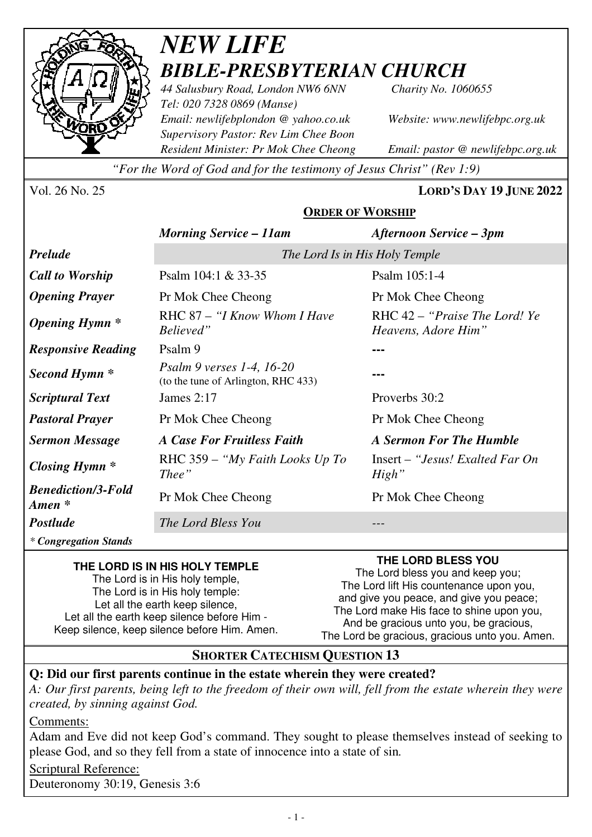

# *NEW LIFE BIBLE-PRESBYTERIAN CHURCH*

*44 Salusbury Road, London NW6 6NN Charity No. 1060655 Tel: 020 7328 0869 (Manse) Email: newlifebplondon @ yahoo.co.uk Website: www.newlifebpc.org.uk Supervisory Pastor: Rev Lim Chee Boon Resident Minister: Pr Mok Chee Cheong Email: pastor @ newlifebpc.org.uk* 

*"For the Word of God and for the testimony of Jesus Christ" (Rev 1:9)*

Vol. 26 No. 25 **LORD'S DAY 19 JUNE 2022**

|                                     | <b>ORDER OF WORSHIP</b>                                                 |                                                      |
|-------------------------------------|-------------------------------------------------------------------------|------------------------------------------------------|
|                                     | <b>Morning Service – 11am</b>                                           | <b>Afternoon Service – 3pm</b>                       |
| Prelude                             | The Lord Is in His Holy Temple                                          |                                                      |
| <b>Call to Worship</b>              | Psalm 104:1 & 33-35                                                     | Psalm 105:1-4                                        |
| <b>Opening Prayer</b>               | Pr Mok Chee Cheong                                                      | Pr Mok Chee Cheong                                   |
| Opening Hymn *                      | RHC 87 - "I Know Whom I Have<br>Believed"                               | RHC 42 – "Praise The Lord! Ye<br>Heavens, Adore Him" |
| <b>Responsive Reading</b>           | Psalm 9                                                                 |                                                      |
| <b>Second Hymn *</b>                | <i>Psalm 9 verses 1-4, 16-20</i><br>(to the tune of Arlington, RHC 433) |                                                      |
| <b>Scriptural Text</b>              | James $2:17$                                                            | Proverbs 30:2                                        |
| <b>Pastoral Prayer</b>              | Pr Mok Chee Cheong                                                      | Pr Mok Chee Cheong                                   |
| <b>Sermon Message</b>               | <b>A Case For Fruitless Faith</b>                                       | <b>A Sermon For The Humble</b>                       |
| <b>Closing Hymn</b> *               | RHC 359 – "My Faith Looks Up To"<br>Thee"                               | $Insert - "Jesus! Exalled Far On$<br>High"           |
| <b>Benediction/3-Fold</b><br>Amen * | Pr Mok Chee Cheong                                                      | Pr Mok Chee Cheong                                   |
| Postlude                            | The Lord Bless You                                                      |                                                      |

#### **THE LORD IS IN HIS HOLY TEMPLE**

The Lord is in His holy temple, The Lord is in His holy temple: Let all the earth keep silence, Let all the earth keep silence before Him - Keep silence, keep silence before Him. Amen.

## **THE LORD BLESS YOU**

The Lord bless you and keep you; The Lord lift His countenance upon you, and give you peace, and give you peace; The Lord make His face to shine upon you, And be gracious unto you, be gracious, The Lord be gracious, gracious unto you. Amen.

## **SHORTER CATECHISM QUESTION 13**

#### **Q: Did our first parents continue in the estate wherein they were created?**

*A: Our first parents, being left to the freedom of their own will, fell from the estate wherein they were created, by sinning against God.* 

Comments:

*\* Congregation Stands*

Adam and Eve did not keep God's command. They sought to please themselves instead of seeking to please God, and so they fell from a state of innocence into a state of sin*.*

Scriptural Reference: Deuteronomy 30:19, Genesis 3:6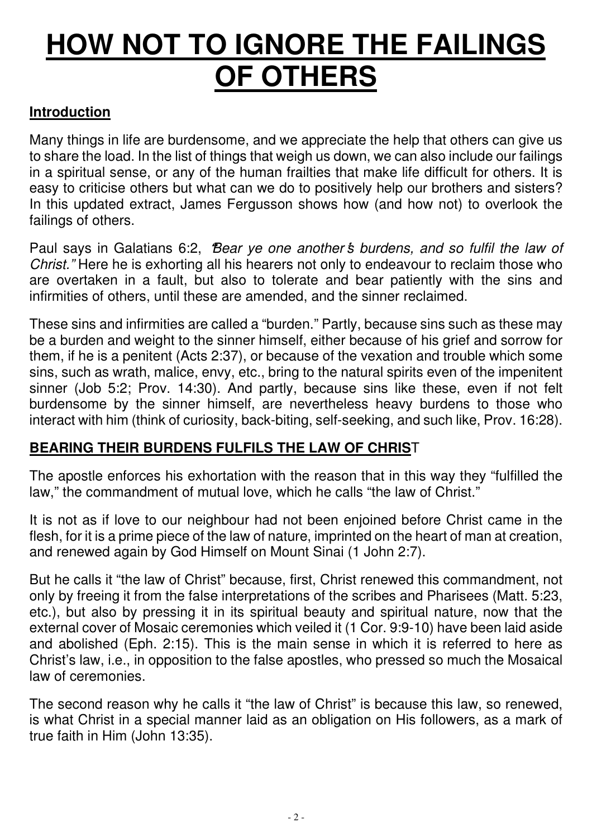# **HOW NOT TO IGNORE THE FAILINGS OF OTHERS**

# **Introduction**

Many things in life are burdensome, and we appreciate the help that others can give us to share the load. In the list of things that weigh us down, we can also include our failings in a spiritual sense, or any of the human frailties that make life difficult for others. It is easy to criticise others but what can we do to positively help our brothers and sisters? In this updated extract, James Fergusson shows how (and how not) to overlook the failings of others.

Paul says in Galatians 6:2, **"**Bear ye one another **'**s burdens, and so fulfil the law of Christ." Here he is exhorting all his hearers not only to endeavour to reclaim those who are overtaken in a fault, but also to tolerate and bear patiently with the sins and infirmities of others, until these are amended, and the sinner reclaimed.

These sins and infirmities are called a "burden." Partly, because sins such as these may be a burden and weight to the sinner himself, either because of his grief and sorrow for them, if he is a penitent (Acts 2:37), or because of the vexation and trouble which some sins, such as wrath, malice, envy, etc., bring to the natural spirits even of the impenitent sinner (Job 5:2; Prov. 14:30). And partly, because sins like these, even if not felt burdensome by the sinner himself, are nevertheless heavy burdens to those who interact with him (think of curiosity, back-biting, self-seeking, and such like, Prov. 16:28).

# **BEARING THEIR BURDENS FULFILS THE LAW OF CHRIS**T

The apostle enforces his exhortation with the reason that in this way they "fulfilled the law," the commandment of mutual love, which he calls "the law of Christ."

It is not as if love to our neighbour had not been enjoined before Christ came in the flesh, for it is a prime piece of the law of nature, imprinted on the heart of man at creation, and renewed again by God Himself on Mount Sinai (1 John 2:7).

But he calls it "the law of Christ" because, first, Christ renewed this commandment, not only by freeing it from the false interpretations of the scribes and Pharisees (Matt. 5:23, etc.), but also by pressing it in its spiritual beauty and spiritual nature, now that the external cover of Mosaic ceremonies which veiled it (1 Cor. 9:9-10) have been laid aside and abolished (Eph. 2:15). This is the main sense in which it is referred to here as Christ's law, i.e., in opposition to the false apostles, who pressed so much the Mosaical law of ceremonies.

The second reason why he calls it "the law of Christ" is because this law, so renewed, is what Christ in a special manner laid as an obligation on His followers, as a mark of true faith in Him (John 13:35).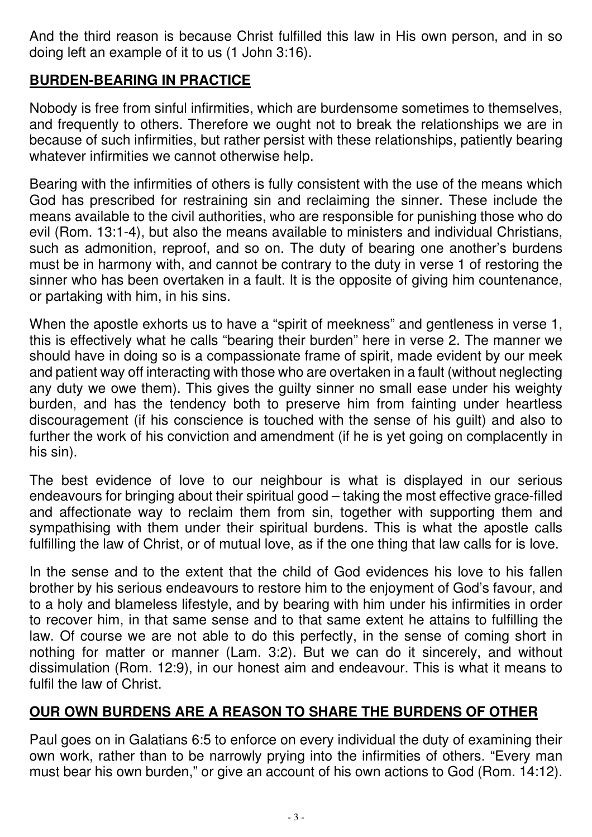And the third reason is because Christ fulfilled this law in His own person, and in so doing left an example of it to us (1 John 3:16).

# **BURDEN-BEARING IN PRACTICE**

Nobody is free from sinful infirmities, which are burdensome sometimes to themselves, and frequently to others. Therefore we ought not to break the relationships we are in because of such infirmities, but rather persist with these relationships, patiently bearing whatever infirmities we cannot otherwise help.

Bearing with the infirmities of others is fully consistent with the use of the means which God has prescribed for restraining sin and reclaiming the sinner. These include the means available to the civil authorities, who are responsible for punishing those who do evil (Rom. 13:1-4), but also the means available to ministers and individual Christians, such as admonition, reproof, and so on. The duty of bearing one another's burdens must be in harmony with, and cannot be contrary to the duty in verse 1 of restoring the sinner who has been overtaken in a fault. It is the opposite of giving him countenance, or partaking with him, in his sins.

When the apostle exhorts us to have a "spirit of meekness" and gentleness in verse 1, this is effectively what he calls "bearing their burden" here in verse 2. The manner we should have in doing so is a compassionate frame of spirit, made evident by our meek and patient way off interacting with those who are overtaken in a fault (without neglecting any duty we owe them). This gives the guilty sinner no small ease under his weighty burden, and has the tendency both to preserve him from fainting under heartless discouragement (if his conscience is touched with the sense of his guilt) and also to further the work of his conviction and amendment (if he is yet going on complacently in his sin).

The best evidence of love to our neighbour is what is displayed in our serious endeavours for bringing about their spiritual good – taking the most effective grace-filled and affectionate way to reclaim them from sin, together with supporting them and sympathising with them under their spiritual burdens. This is what the apostle calls fulfilling the law of Christ, or of mutual love, as if the one thing that law calls for is love.

In the sense and to the extent that the child of God evidences his love to his fallen brother by his serious endeavours to restore him to the enjoyment of God's favour, and to a holy and blameless lifestyle, and by bearing with him under his infirmities in order to recover him, in that same sense and to that same extent he attains to fulfilling the law. Of course we are not able to do this perfectly, in the sense of coming short in nothing for matter or manner (Lam. 3:2). But we can do it sincerely, and without dissimulation (Rom. 12:9), in our honest aim and endeavour. This is what it means to fulfil the law of Christ.

# **OUR OWN BURDENS ARE A REASON TO SHARE THE BURDENS OF OTHER**

Paul goes on in Galatians 6:5 to enforce on every individual the duty of examining their own work, rather than to be narrowly prying into the infirmities of others. "Every man must bear his own burden," or give an account of his own actions to God (Rom. 14:12).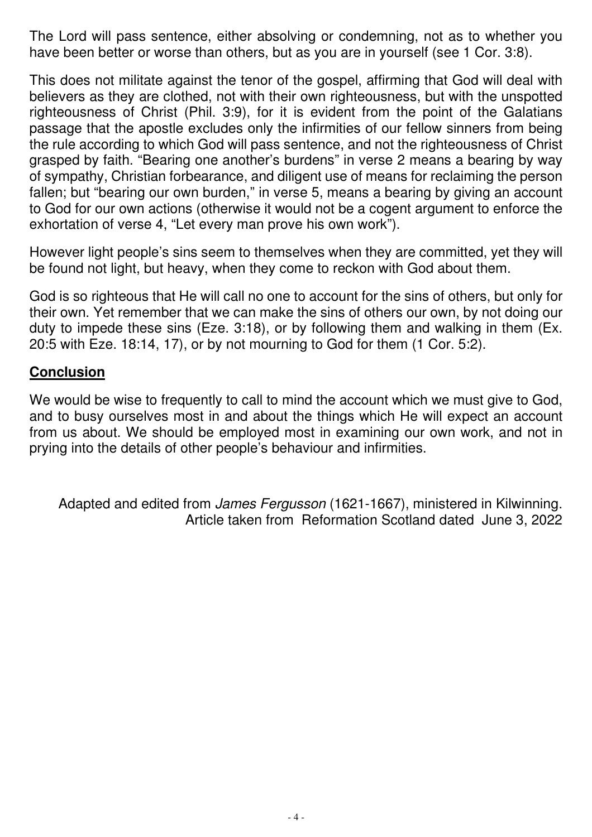The Lord will pass sentence, either absolving or condemning, not as to whether you have been better or worse than others, but as you are in yourself (see 1 Cor. 3:8).

This does not militate against the tenor of the gospel, affirming that God will deal with believers as they are clothed, not with their own righteousness, but with the unspotted righteousness of Christ (Phil. 3:9), for it is evident from the point of the Galatians passage that the apostle excludes only the infirmities of our fellow sinners from being the rule according to which God will pass sentence, and not the righteousness of Christ grasped by faith. "Bearing one another's burdens" in verse 2 means a bearing by way of sympathy, Christian forbearance, and diligent use of means for reclaiming the person fallen; but "bearing our own burden," in verse 5, means a bearing by giving an account to God for our own actions (otherwise it would not be a cogent argument to enforce the exhortation of verse 4, "Let every man prove his own work").

However light people's sins seem to themselves when they are committed, yet they will be found not light, but heavy, when they come to reckon with God about them.

God is so righteous that He will call no one to account for the sins of others, but only for their own. Yet remember that we can make the sins of others our own, by not doing our duty to impede these sins (Eze. 3:18), or by following them and walking in them (Ex. 20:5 with Eze. 18:14, 17), or by not mourning to God for them (1 Cor. 5:2).

# **Conclusion**

We would be wise to frequently to call to mind the account which we must give to God, and to busy ourselves most in and about the things which He will expect an account from us about. We should be employed most in examining our own work, and not in prying into the details of other people 's behaviour and infirmities.

Adapted and edited from James Fergusson (1621-1667), ministered in Kilwinning. Article taken from Reformation Scotland dated June 3, 2022